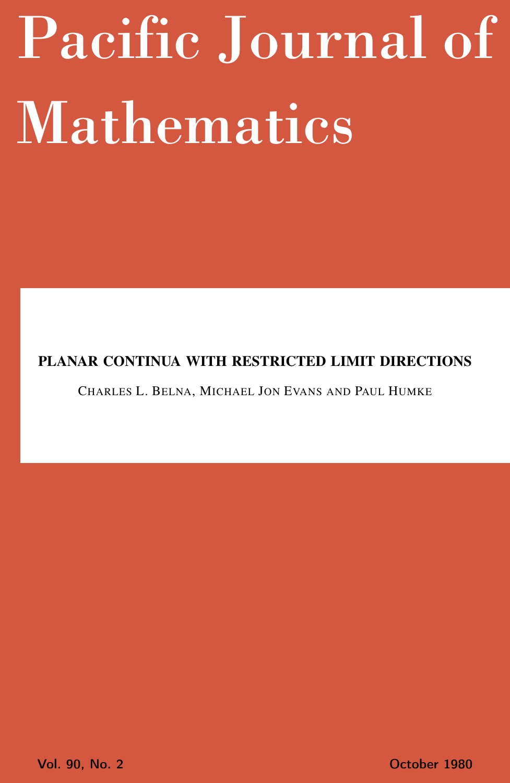# <span id="page-0-0"></span>Pacific Journal of Mathematics

# PLANAR CONTINUA WITH RESTRICTED LIMIT DIRECTIONS

CHARLES L. BELNA, MICHAEL JON EVANS AND PAUL HUMKE

Vol. 90, No. 2 October 1980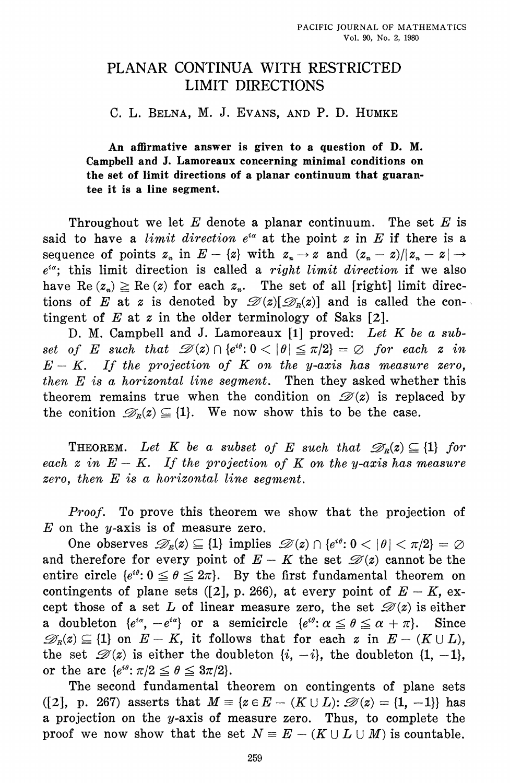# PLANAR CONTINUA WITH RESTRICTED **LIMIT DIRECTIONS**

C. L. BELNA, M. J. EVANS, AND P. D. HUMKE

An affirmative answer is given to a question of D. M. Campbell and J. Lamoreaux concerning minimal conditions on the set of limit directions of a planar continuum that guarantee it is a line segment.

Throughout we let  $E$  denote a planar continuum. The set  $E$  is said to have a *limit direction*  $e^{i\alpha}$  at the point z in E if there is a sequence of points  $z_n$  in  $E - \{z\}$  with  $z_n \to z$  and  $(z_n - z)/|z_n - z| \to z$  $e^{i\alpha}$ ; this limit direction is called a right limit direction if we also have Re  $(z_n) \geq$  Re  $(z)$  for each  $z_n$ . The set of all [right] limit directions of E at z is denoted by  $\mathcal{D}(z)[\mathcal{D}_R(z)]$  and is called the contingent of E at  $z$  in the older terminology of Saks [2].

D. M. Campbell and J. Lamoreaux [1] proved: Let K be a subset of E such that  $\mathscr{D}(z) \cap \{e^{i\theta}: 0 \leq |\theta| \leq \pi/2\} = \emptyset$  for each z in  $E - K$ . If the projection of K on the y-axis has measure zero, then  $E$  is a horizontal line segment. Then they asked whether this theorem remains true when the condition on  $\mathcal{D}(z)$  is replaced by the conition  $\mathscr{D}_n(z) \subseteq \{1\}$ . We now show this to be the case.

**THEOREM.** Let K be a subset of E such that  $\mathscr{D}_R(z) \subseteq \{1\}$  for each  $z$  in  $E - K$ . If the projection of K on the y-axis has measure zero, then  $E$  is a horizontal line segment.

Proof. To prove this theorem we show that the projection of  $E$  on the y-axis is of measure zero.

One observes  $\mathscr{D}_R(z) \subseteq \{1\}$  implies  $\mathscr{D}(z) \cap \{e^{i\theta} : 0 < |\theta| < \pi/2\} = \emptyset$ and therefore for every point of  $E - K$  the set  $\mathscr{D}(z)$  cannot be the entire circle  $\{e^{i\theta}: 0 \le \theta \le 2\pi\}$ . By the first fundamental theorem on contingents of plane sets ([2], p. 266), at every point of  $E - K$ , except those of a set L of linear measure zero, the set  $\mathscr{D}(z)$  is either a doubleton  $\{e^{i\alpha}, -e^{i\alpha}\}\$  or a semicircle  $\{e^{i\theta}\colon \alpha \leq \theta \leq \alpha + \pi\}$ . Since  $\mathscr{D}_R(z) \subseteq \{1\}$  on  $E - K$ , it follows that for each z in  $E - (K \cup L)$ , the set  $\mathscr{D}(z)$  is either the doubleton  $\{i, -i\}$ , the doubleton  $\{1, -1\}$ , or the arc  $\{e^{i\theta} : \pi/2 \le \theta \le 3\pi/2\}.$ 

The second fundamental theorem on contingents of plane sets ([2], p. 267) asserts that  $M = \{z \in E - (K \cup L): \mathcal{D}(z) = \{1, -1\}\}\)$  has a projection on the y-axis of measure zero. Thus, to complete the proof we now show that the set  $N = E - (K \cup L \cup M)$  is countable.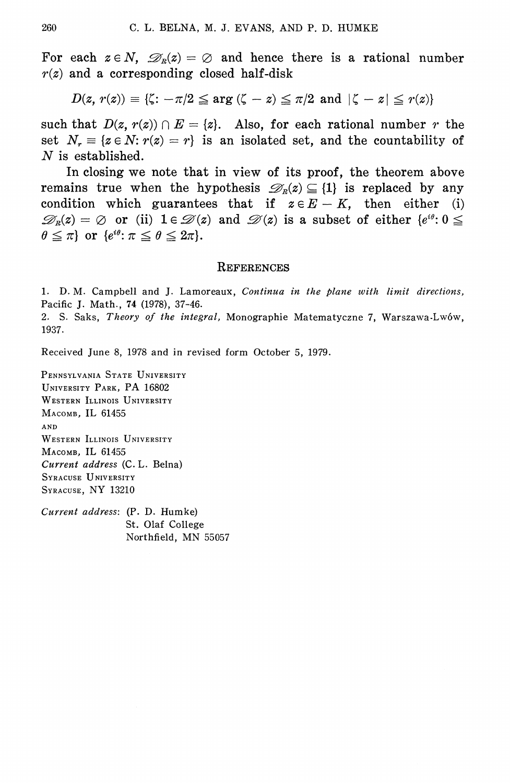For each  $z \in N$ ,  $\mathcal{D}_R(z) = \emptyset$  and hence there is a rational number  $r(z)$  and a corresponding closed half-disk

$$
D(z,\, r(z))\equiv \{\zeta\colon -\pi/2\leqq \arg{(\zeta-z)}\leqq \pi/2\ \, \text{and}\ \, |\zeta-z|\leqq r(z)\}
$$

such that  $D(z, r(z)) \cap E = \{z\}$ . Also, for each rational number r the set  $N_r \equiv \{z \in N : r(z) = r\}$  is an isolated set, and the countability of  $N$  is established.

In closing we note that in view of its proof, the theorem above remains true when the hypothesis  $\mathcal{D}_n(z) \subseteq \{1\}$  is replaced by any condition which guarantees that if  $z \in E - K$ , then either (i)  $\mathscr{D}_n(z) = \emptyset$  or (ii)  $1 \in \mathscr{D}(z)$  and  $\mathscr{D}(z)$  is a subset of either  $\{e^{i\theta} : 0 \leq$  $\theta \leq \pi$  or  $\{e^{i\theta} : \pi \leq \theta \leq 2\pi\}.$ 

## **REFERENCES**

1. D. M. Campbell and J. Lamoreaux, Continua in the plane with limit directions, Pacific J. Math., 74 (1978), 37-46.

2. S. Saks, Theory of the integral, Monographie Matematyczne 7, Warszawa-Lwów, 1937.

Received June 8, 1978 and in revised form October 5, 1979.

PENNSYLVANIA STATE UNIVERSITY UNIVERSITY PARK, PA 16802 WESTERN ILLINOIS UNIVERSITY MACOMB, IL 61455 AND WESTERN ILLINOIS UNIVERSITY Масомв, IL 61455 Current address (C. L. Belna) SYRACUSE UNIVERSITY SYRACUSE, NY 13210

Current address: (P. D. Humke) St. Olaf College Northfield, MN 55057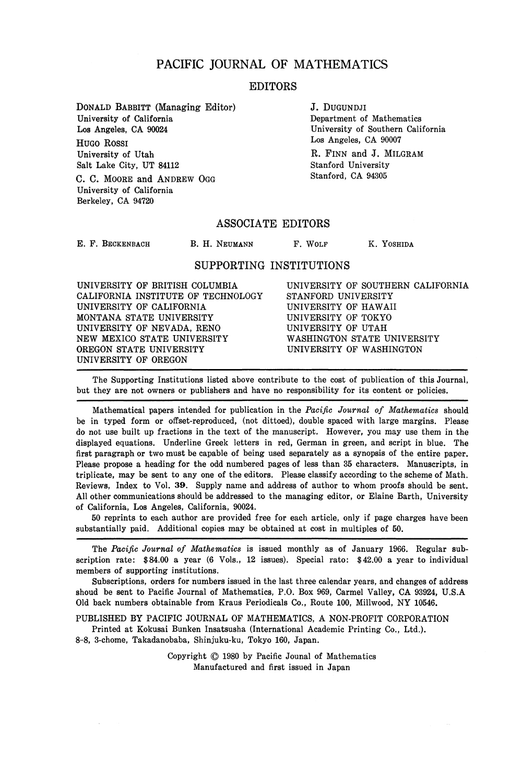## PACIFIC JOURNAL OF MATHEMATICS

## EDITORS

DONALD BABBITT (Managing Editor) University of California Los Angeles, CA 90024 HUGO ROSSI University of Utah Salt Lake City, UT 84112 C. C. MOORE and ANDREW OGG

Department of Mathematics University of Southern California Los Angeles, CA 90007 R. FINN and J. MILGRAM Stanford University Stanford, CA 94305

J. DUGUNDJI

#### ASSOCIATE EDITORS

E. F. BECKENBACH

University of California Berkeley, CA 94720

B. H. NEUMANN F. WOLF K. YOSHIDA

## SUPPORTING INSTITUTIONS

UNIVERSITY OF BRITISH COLUMBIA CALIFORNIA INSTITUTE OF TECHNOLOGY UNIVERSITY OF CALIFORNIA MONTANA STATE UNIVERSITY UNIVERSITY OF NEVADA, RENO NEW MEXICO STATE UNIVERSITY OREGON STATE UNIVERSITY UNIVERSITY OF OREGON

UNIVERSITY OF SOUTHERN CALIFORNIA STANFORD UNIVERSITY UNIVERSITY OF HAWAII UNIVERSITY OF TOKYO UNIVERSITY OF UTAH WASHINGTON STATE UNIVERSITY UNIVERSITY OF WASHINGTON

The Supporting Institutions listed above contribute to the cost of publication of this Journal, but they are not owners or publishers and have no responsibility for its content or policies.

Mathematical papers intended for publication in the *Pacific Journal of Mathematics* should be in typed form or offset-reproduced, (not dittoed), double spaced with large margins. Please do not use built up fractions in the text of the manuscript. However, you may use them in the displayed equations. Underline Greek letters in red, German in green, and script in blue. The first paragraph or two must be capable of being used separately as a synopsis of the entire paper. Please propose a heading for the odd numbered pages of less than 35 characters. Manuscripts, in triplicate, may be sent to any one of the editors. Please classify according to the scheme of Math. Reviews, Index to Vol. 39. Supply name and address of author to whom proofs should be sent. All other communications should be addressed to the managing editor, or Elaine Barth, University of California, Los Angeles, California, 90024.

50 reprints to each author are provided free for each article, only if page charges have been substantially paid. Additional copies may be obtained at cost in multiples of 50.

The *Pacific Journal of Mathematics* is issued monthly as of January 1966. Regular subscription rate: \$84.00 a year (6 Vols., 12 issues). Special rato: \$42.00 a year to individual members of supporting institutions.

Subscriptions, orders for numbers issued in the last three calendar years, and changes of address shoud be sent to Pacific Journal of Mathematics, P.O. Box 969, Carmel Valley, CA 93924, U.S.A Old back numbers obtainable from Kraus Periodicals Co., Route 100, Millwood, NY 10546.

PUBLISHED BY PACIFIC JOURNAL OF MATHEMATICS, A NON-PROFIT CORPORATION Printed at Kokusai Bunken Insatsusha (International Academic Printing Co., Ltd.).

8-8, 3-chome, Takadanobaba, Shinjuku-ku, Tokyo 160, Japan.

Copyright © 1980 by Pacific Jounal of Mathematics Manufactured and first issued in Japan